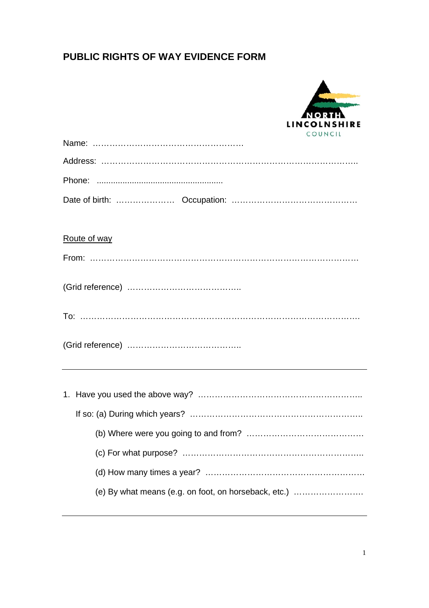| LINCOLNSHIRE |
|--------------|
| COUNCIL      |
|              |
|              |
|              |
| Route of way |
|              |
|              |
|              |
|              |
|              |
|              |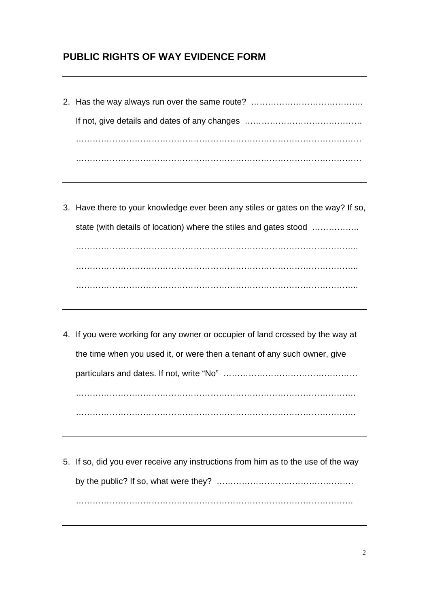- 2. Has the way always run over the same route? ……………………………………………………………………………………… If not, give details and dates of any changes …………………………………… ………………………………………………………………………………………… …………………………………………………………………………………………
- 3. Have there to your knowledge ever been any stiles or gates on the way? If so, state (with details of location) where the stiles and gates stood ………………. ……………………………………………………………………………………….. ……………………………………………………………………………………….. ………………………………………………………………………………………..
- 4. If you were working for any owner or occupier of land crossed by the way at the time when you used it, or were then a tenant of any such owner, give particulars and dates. If not, write "No" ………………………………………… ………………………………………………………………………………………. ……………………………………………………………………………………….
- 5. If so, did you ever receive any instructions from him as to the use of the way by the public? If so, what were they? …………………………………………. ………………………………………………………………………………………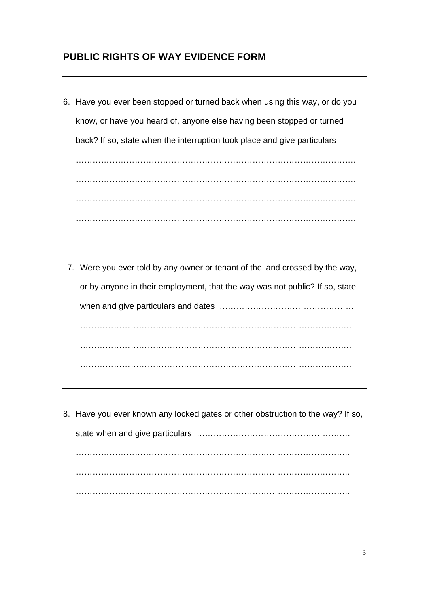- 6. Have you ever been stopped or turned back when using this way, or do you know, or have you heard of, anyone else having been stopped or turned back? If so, state when the interruption took place and give particulars ………………………………………………………………………………………. ………………………………………………………………………………………. ………………………………………………………………………………………. ……………………………………………………………………………………….
- 7. Were you ever told by any owner or tenant of the land crossed by the way, or by anyone in their employment, that the way was not public? If so, state when and give particulars and dates ………………………………………… ……………………………………………………………………………………. ……………………………………………………………………………………. …………………………………………………………………………………….
- 8. Have you ever known any locked gates or other obstruction to the way? If so, state when and give particulars ………………………………………………. …………………………………………………………………………………….. …………………………………………………………………………………….. ……………………………………………………………………………………..